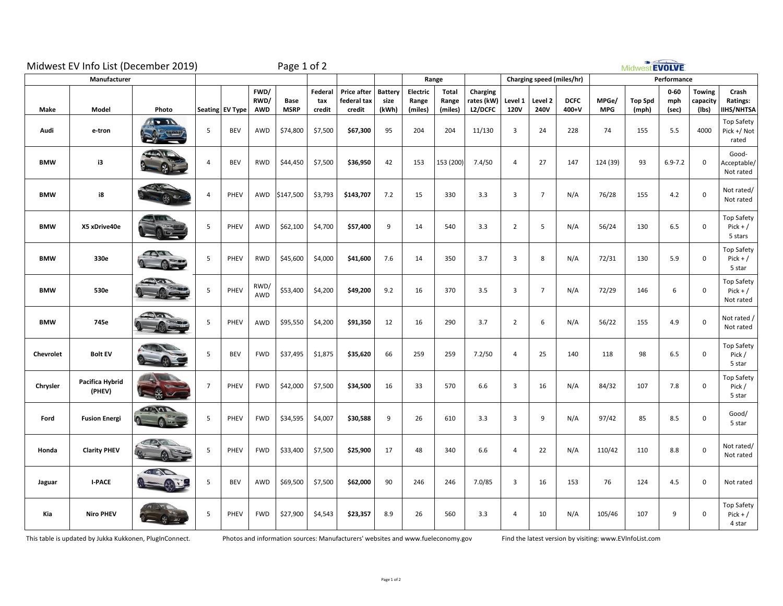| Midwest EV Info List (December 2019) |                           |                                      |                | Page 1 of 2     |                     |                     |                          |                                      |                                 |                              |                           |                                   | Midwest EVOLVE         |                           |                      |                     |                         |                          |                                    |                                              |
|--------------------------------------|---------------------------|--------------------------------------|----------------|-----------------|---------------------|---------------------|--------------------------|--------------------------------------|---------------------------------|------------------------------|---------------------------|-----------------------------------|------------------------|---------------------------|----------------------|---------------------|-------------------------|--------------------------|------------------------------------|----------------------------------------------|
| Manufacturer                         |                           |                                      |                |                 |                     |                     |                          |                                      | Range                           |                              |                           |                                   |                        | Charging speed (miles/hr) |                      | Performance         |                         |                          |                                    |                                              |
| Make                                 | Model                     | Photo                                |                | Seating EV Type | FWD/<br>RWD/<br>AWD | Base<br><b>MSRP</b> | Federal<br>tax<br>credit | Price after<br>federal tax<br>credit | <b>Battery</b><br>size<br>(kWh) | Electric<br>Range<br>(miles) | Total<br>Range<br>(miles) | Charging<br>rates (kW)<br>L2/DCFC | Level 1<br><b>120V</b> | Level 2<br><b>240V</b>    | <b>DCFC</b><br>400+V | MPGe/<br><b>MPG</b> | <b>Top Spd</b><br>(mph) | $0 - 60$<br>mph<br>(sec) | <b>Towing</b><br>capacity<br>(Ibs) | Crash<br>Ratings:<br><b>IIHS/NHTSA</b>       |
| Audi                                 | e-tron                    | T <sub>1</sub><br><b>All Comment</b> | 5              | <b>BEV</b>      | AWD                 | \$74,800            | \$7,500                  | \$67,300                             | 95                              | 204                          | 204                       | 11/130                            | $\overline{3}$         | 24                        | 228                  | 74                  | 155                     | 5.5                      | 4000                               | Top Safety<br>Pick +/ Not<br>rated           |
| <b>BMW</b>                           | i3                        | <b>TLAIR</b>                         | 4              | <b>BEV</b>      | RWD                 | \$44,450            | \$7,500                  | \$36,950                             | 42                              | 153                          | 153 (200)                 | 7.4/50                            | $\overline{4}$         | 27                        | 147                  | 124 (39)            | 93                      | $6.9 - 7.2$              | $\mathbf 0$                        | Good-<br>Acceptable/<br>Not rated            |
| <b>BMW</b>                           | i8                        |                                      | 4              | PHEV            | AWD                 | \$147,500           | \$3,793                  | \$143,707                            | 7.2                             | 15                           | 330                       | 3.3                               | $\overline{3}$         | $\overline{7}$            | N/A                  | 76/28               | 155                     | 4.2                      | $\mathsf 0$                        | Not rated/<br>Not rated                      |
| <b>BMW</b>                           | X5 xDrive40e              |                                      | 5              | PHEV            | AWD                 | \$62,100            | \$4,700                  | \$57,400                             | 9                               | 14                           | 540                       | 3.3                               | $\overline{2}$         | 5                         | N/A                  | 56/24               | 130                     | 6.5                      | $\mathbf 0$                        | Top Safety<br>$Pick + /$<br>5 stars          |
| <b>BMW</b>                           | 330e                      | a Black<br>$r =$                     | 5              | PHEV            | <b>RWD</b>          | \$45,600            | \$4,000                  | \$41,600                             | 7.6                             | 14                           | 350                       | 3.7                               | $\overline{3}$         | 8                         | N/A                  | 72/31               | 130                     | 5.9                      | $\mathsf 0$                        | Top Safety<br>$Pick + /$<br>5 star           |
| <b>BMW</b>                           | 530e                      | $\sqrt{2}$                           | 5              | PHEV            | RWD/<br>AWD         | \$53,400            | \$4,200                  | \$49,200                             | 9.2                             | 16                           | 370                       | 3.5                               | $\overline{3}$         | $\overline{7}$            | N/A                  | 72/29               | 146                     | 6                        | $\mathsf 0$                        | <b>Top Safety</b><br>$Pick + /$<br>Not rated |
| <b>BMW</b>                           | 745e                      |                                      | 5              | PHEV            | AWD                 | \$95,550            | \$4,200                  | \$91,350                             | 12                              | 16                           | 290                       | 3.7                               | $\overline{2}$         | 6                         | N/A                  | 56/22               | 155                     | 4.9                      | $\mathsf 0$                        | Not rated /<br>Not rated                     |
| Chevrolet                            | <b>Bolt EV</b>            |                                      | 5              | <b>BEV</b>      | <b>FWD</b>          | \$37,495            | \$1,875                  | \$35,620                             | 66                              | 259                          | 259                       | 7.2/50                            | $\overline{4}$         | 25                        | 140                  | 118                 | 98                      | 6.5                      | $\mathbf 0$                        | Top Safety<br>Pick /<br>5 star               |
| Chrysler                             | Pacifica Hybrid<br>(PHEV) |                                      | $\overline{7}$ | PHEV            | <b>FWD</b>          | \$42,000            | \$7,500                  | \$34,500                             | 16                              | 33                           | 570                       | 6.6                               | $\overline{3}$         | 16                        | N/A                  | 84/32               | 107                     | 7.8                      | $\mathbf 0$                        | Top Safety<br>Pick /<br>5 star               |
| Ford                                 | <b>Fusion Energi</b>      | $\sqrt{a}$                           | 5              | PHEV            | <b>FWD</b>          | \$34,595            | \$4,007                  | \$30,588                             | 9                               | 26                           | 610                       | 3.3                               | $\overline{3}$         | 9                         | N/A                  | 97/42               | 85                      | 8.5                      | $\mathbf 0$                        | Good/<br>5 star                              |
| Honda                                | <b>Clarity PHEV</b>       | CRY                                  | 5              | PHEV            | <b>FWD</b>          | \$33,400            | \$7,500                  | \$25,900                             | 17                              | 48                           | 340                       | 6.6                               | $\overline{4}$         | 22                        | N/A                  | 110/42              | 110                     | 8.8                      | $\mathsf 0$                        | Not rated/<br>Not rated                      |
| Jaguar                               | <b>I-PACE</b>             | <b>CAST</b>                          | 5              | <b>BEV</b>      | AWD                 | \$69,500            | \$7,500                  | \$62,000                             | 90                              | 246                          | 246                       | 7.0/85                            | 3                      | 16                        | 153                  | 76                  | 124                     | 4.5                      | $\mathbf 0$                        | Not rated                                    |
| Kia                                  | <b>Niro PHEV</b>          |                                      | 5              | PHEV            | <b>FWD</b>          | \$27,900            | \$4,543                  | \$23,357                             | 8.9                             | 26                           | 560                       | 3.3                               | $\overline{4}$         | 10                        | N/A                  | 105/46              | 107                     | 9                        | 0                                  | Top Safety<br>$Pick + /$<br>4 star           |

This table is updated by Jukka Kukkonen, PlugInConnect. Photos and information sources: Manufacturers' websites and www.fueleconomy.gov Find the latest version by visiting: www.EVInfoList.com